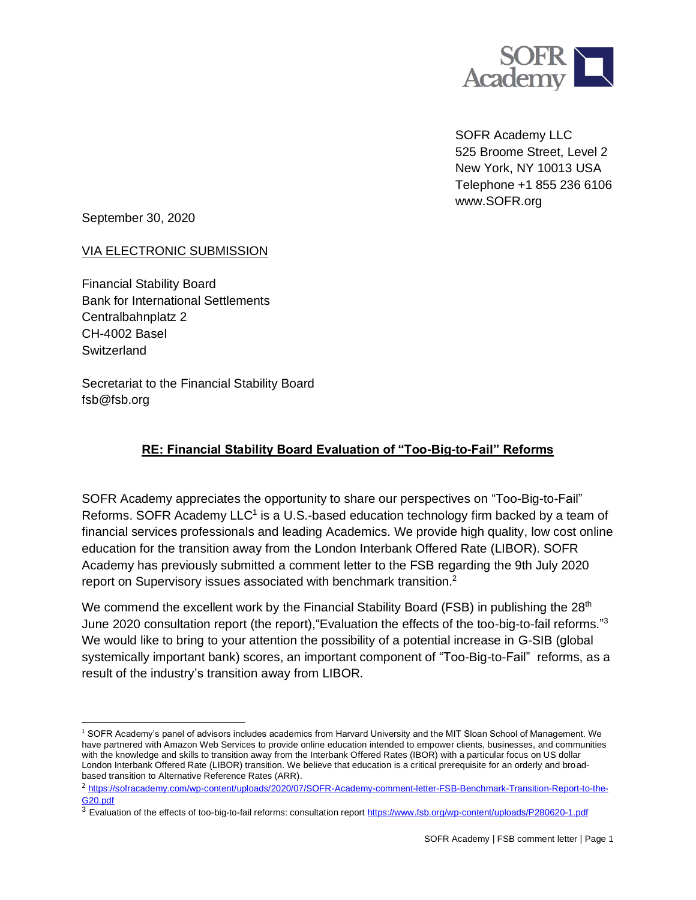

SOFR Academy LLC 525 Broome Street, Level 2 New York, NY 10013 USA Telephone +1 855 236 6106 www.SOFR.org

September 30, 2020

## VIA ELECTRONIC SUBMISSION

Financial Stability Board Bank for International Settlements Centralbahnplatz 2 CH-4002 Basel **Switzerland** 

Secretariat to the Financial Stability Board fsb@fsb.org

## **RE: Financial Stability Board Evaluation of "Too-Big-to-Fail" Reforms**

SOFR Academy appreciates the opportunity to share our perspectives on "Too-Big-to-Fail" Reforms. SOFR Academy  $LLC<sup>1</sup>$  is a U.S.-based education technology firm backed by a team of financial services professionals and leading Academics. We provide high quality, low cost online education for the transition away from the London Interbank Offered Rate (LIBOR). SOFR Academy has previously submitted a comment letter to the FSB regarding the 9th July 2020 report on Supervisory issues associated with benchmark transition.<sup>2</sup>

We commend the excellent work by the Financial Stability Board (FSB) in publishing the 28<sup>th</sup> June 2020 consultation report (the report),"Evaluation the effects of the too-big-to-fail reforms." 3 We would like to bring to your attention the possibility of a potential increase in G-SIB (global systemically important bank) scores, an important component of "Too-Big-to-Fail" reforms, as a result of the industry's transition away from LIBOR.

<sup>1</sup> SOFR Academy's panel of advisors includes academics from Harvard University and the MIT Sloan School of Management. We have partnered with Amazon Web Services to provide online education intended to empower clients, businesses, and communities with the knowledge and skills to transition away from the Interbank Offered Rates (IBOR) with a particular focus on US dollar London Interbank Offered Rate (LIBOR) transition. We believe that education is a critical prerequisite for an orderly and broadbased transition to Alternative Reference Rates (ARR).

<sup>2</sup> [https://sofracademy.com/wp-content/uploads/2020/07/SOFR-Academy-comment-letter-FSB-Benchmark-Transition-Report-to-the-](https://sofracademy.com/wp-content/uploads/2020/07/SOFR-Academy-comment-letter-FSB-Benchmark-Transition-Report-to-the-G20.pdf)[G20.pdf](https://sofracademy.com/wp-content/uploads/2020/07/SOFR-Academy-comment-letter-FSB-Benchmark-Transition-Report-to-the-G20.pdf)

<sup>&</sup>lt;sup>3</sup> Evaluation of the effects of too-big-to-fail reforms: consultation report <https://www.fsb.org/wp-content/uploads/P280620-1.pdf>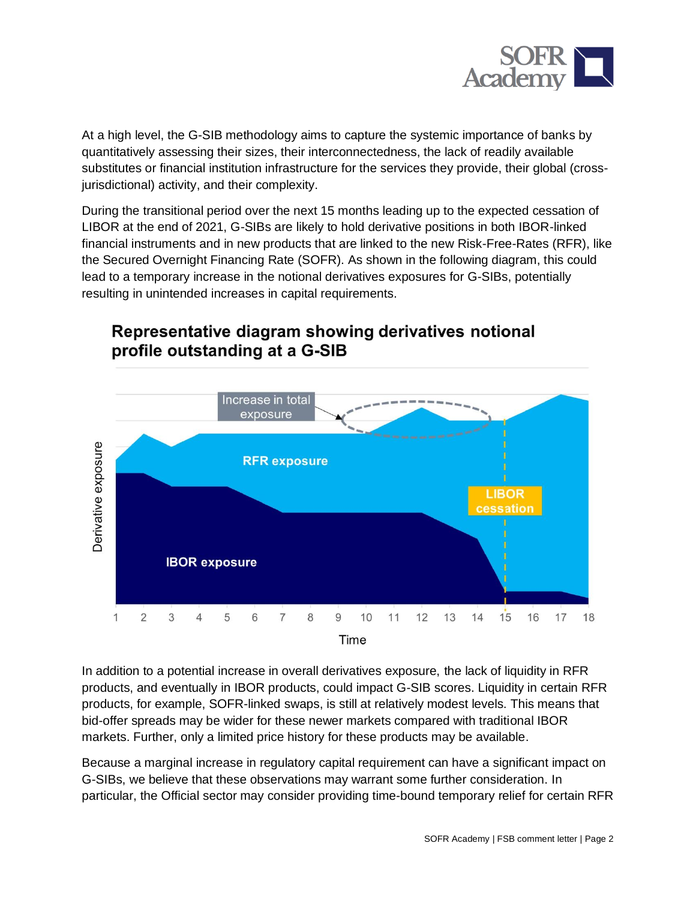

At a high level, the G-SIB methodology aims to capture the systemic importance of banks by quantitatively assessing their sizes, their interconnectedness, the lack of readily available substitutes or financial institution infrastructure for the services they provide, their global (crossjurisdictional) activity, and their complexity.

During the transitional period over the next 15 months leading up to the expected cessation of LIBOR at the end of 2021, G-SIBs are likely to hold derivative positions in both IBOR-linked financial instruments and in new products that are linked to the new Risk-Free-Rates (RFR), like the Secured Overnight Financing Rate (SOFR). As shown in the following diagram, this could lead to a temporary increase in the notional derivatives exposures for G-SIBs, potentially resulting in unintended increases in capital requirements.



## Representative diagram showing derivatives notional profile outstanding at a G-SIB

In addition to a potential increase in overall derivatives exposure, the lack of liquidity in RFR products, and eventually in IBOR products, could impact G-SIB scores. Liquidity in certain RFR products, for example, SOFR-linked swaps, is still at relatively modest levels. This means that bid-offer spreads may be wider for these newer markets compared with traditional IBOR markets. Further, only a limited price history for these products may be available.

Because a marginal increase in regulatory capital requirement can have a significant impact on G-SIBs, we believe that these observations may warrant some further consideration. In particular, the Official sector may consider providing time-bound temporary relief for certain RFR